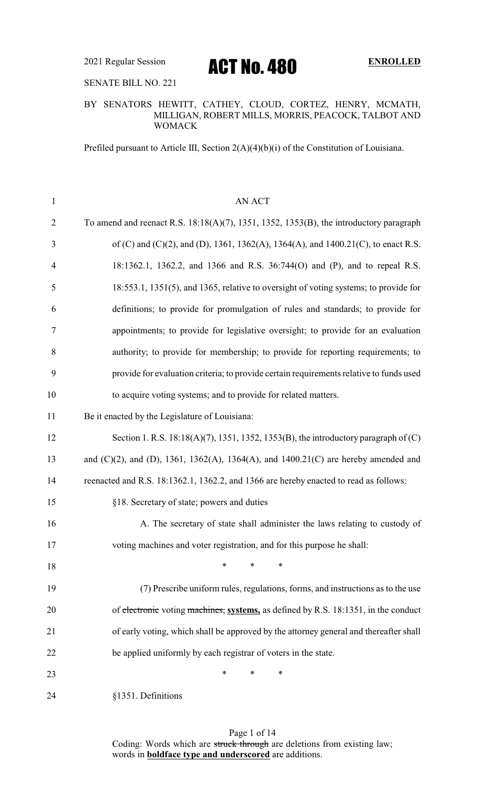SENATE BILL NO. 221

### BY SENATORS HEWITT, CATHEY, CLOUD, CORTEZ, HENRY, MCMATH, MILLIGAN, ROBERT MILLS, MORRIS, PEACOCK, TALBOT AND WOMACK

Prefiled pursuant to Article III, Section 2(A)(4)(b)(i) of the Constitution of Louisiana.

| $\mathbf{1}$   | <b>AN ACT</b>                                                                                      |
|----------------|----------------------------------------------------------------------------------------------------|
| $\overline{2}$ | To amend and reenact R.S. $18:18(A)(7)$ , $1351$ , $1352$ , $1353(B)$ , the introductory paragraph |
| 3              | of (C) and (C)(2), and (D), 1361, 1362(A), 1364(A), and 1400.21(C), to enact R.S.                  |
| $\overline{4}$ | 18:1362.1, 1362.2, and 1366 and R.S. 36:744(O) and (P), and to repeal R.S.                         |
| 5              | 18:553.1, 1351(5), and 1365, relative to oversight of voting systems; to provide for               |
| 6              | definitions; to provide for promulgation of rules and standards; to provide for                    |
| 7              | appointments; to provide for legislative oversight; to provide for an evaluation                   |
| 8              | authority; to provide for membership; to provide for reporting requirements; to                    |
| 9              | provide for evaluation criteria; to provide certain requirements relative to funds used            |
| 10             | to acquire voting systems; and to provide for related matters.                                     |
| 11             | Be it enacted by the Legislature of Louisiana:                                                     |
| 12             | Section 1. R.S. $18:18(A)(7)$ , $1351$ , $1352$ , $1353(B)$ , the introductory paragraph of (C)    |
| 13             | and $(C)(2)$ , and $(D)$ , 1361, 1362(A), 1364(A), and 1400.21(C) are hereby amended and           |
| 14             | reenacted and R.S. 18:1362.1, 1362.2, and 1366 are hereby enacted to read as follows:              |
| 15             | §18. Secretary of state; powers and duties                                                         |
| 16             | A. The secretary of state shall administer the laws relating to custody of                         |
| 17             | voting machines and voter registration, and for this purpose he shall:                             |
| 18             | $\ast$<br>∗<br>∗                                                                                   |
| 19             | (7) Prescribe uniform rules, regulations, forms, and instructions as to the use                    |
| 20             | of electronic voting machines, systems, as defined by R.S. 18:1351, in the conduct                 |
| 21             | of early voting, which shall be approved by the attorney general and thereafter shall              |
| 22             | be applied uniformly by each registrar of voters in the state.                                     |
| 23             | ∗<br>∗<br>∗                                                                                        |
| 24             | §1351. Definitions                                                                                 |

Page 1 of 14 Coding: Words which are struck through are deletions from existing law; words in **boldface type and underscored** are additions.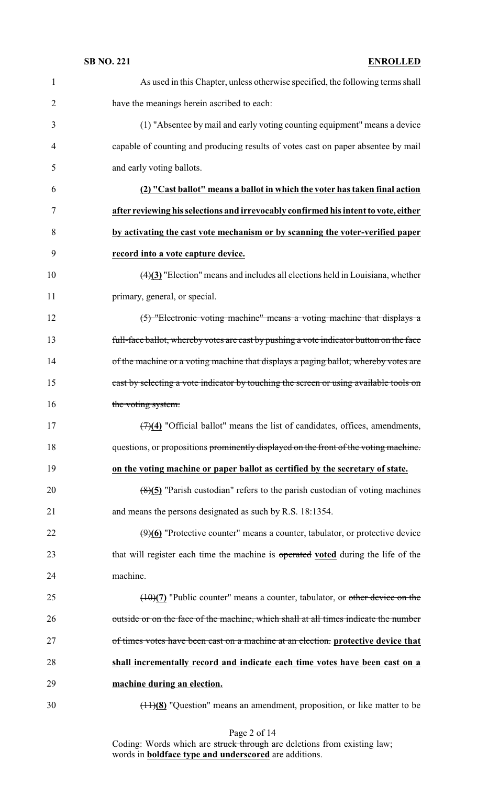| $\mathbf{1}$   | As used in this Chapter, unless otherwise specified, the following terms shall                    |
|----------------|---------------------------------------------------------------------------------------------------|
| $\overline{2}$ | have the meanings herein ascribed to each:                                                        |
| 3              | (1) "Absentee by mail and early voting counting equipment" means a device                         |
| $\overline{4}$ | capable of counting and producing results of votes cast on paper absentee by mail                 |
| 5              | and early voting ballots.                                                                         |
| 6              | (2) "Cast ballot" means a ballot in which the voter has taken final action                        |
| $\tau$         | after reviewing his selections and irrevocably confirmed his intent to vote, either               |
| 8              | by activating the cast vote mechanism or by scanning the voter-verified paper                     |
| 9              | record into a vote capture device.                                                                |
| 10             | $\left(\frac{4}{3}\right)$ "Election" means and includes all elections held in Louisiana, whether |
| 11             | primary, general, or special.                                                                     |
| 12             | (5) "Electronic voting machine" means a voting machine that displays a                            |
| 13             | full-face ballot, whereby votes are cast by pushing a vote indicator button on the face           |
| 14             | of the machine or a voting machine that displays a paging ballot, whereby votes are               |
| 15             | east by selecting a vote indicator by touching the screen or using available tools on             |
| 16             | the voting system.                                                                                |
| 17             | $\overline{(7)(4)}$ "Official ballot" means the list of candidates, offices, amendments,          |
| 18             | questions, or propositions prominently displayed on the front of the voting machine.              |
| 19             | on the voting machine or paper ballot as certified by the secretary of state.                     |
| 20             | $(8)(5)$ "Parish custodian" refers to the parish custodian of voting machines                     |
| 21             | and means the persons designated as such by R.S. 18:1354.                                         |
| 22             | $(9)(6)$ "Protective counter" means a counter, tabulator, or protective device                    |
| 23             | that will register each time the machine is operated voted during the life of the                 |
| 24             | machine.                                                                                          |
| 25             | $(10)(7)$ "Public counter" means a counter, tabulator, or other device on the                     |
| 26             | outside or on the face of the machine, which shall at all times indicate the number               |
| 27             | of times votes have been cast on a machine at an election. protective device that                 |
| 28             | shall incrementally record and indicate each time votes have been cast on a                       |
| 29             | machine during an election.                                                                       |
| 30             | $(11)(8)$ "Question" means an amendment, proposition, or like matter to be                        |

Page 2 of 14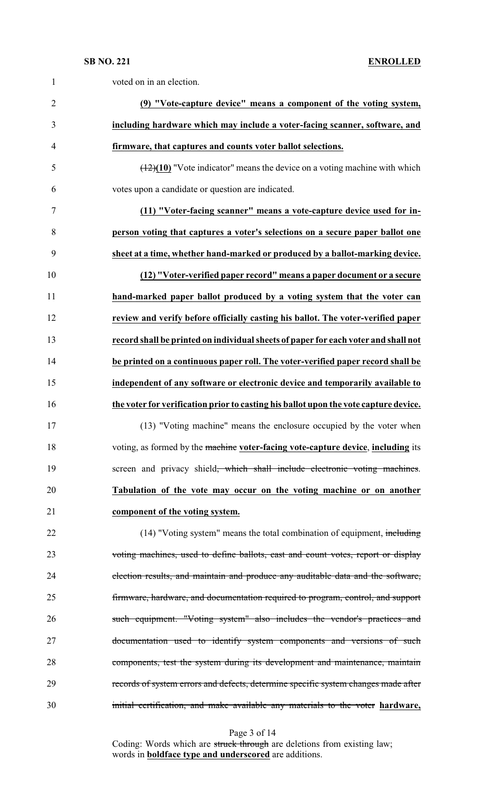| $\mathbf{1}$   | voted on in an election.                                                                |
|----------------|-----------------------------------------------------------------------------------------|
| $\overline{2}$ | (9) "Vote-capture device" means a component of the voting system,                       |
| 3              | including hardware which may include a voter-facing scanner, software, and              |
| $\overline{4}$ | firmware, that captures and counts voter ballot selections.                             |
| 5              | $(12)(10)$ "Vote indicator" means the device on a voting machine with which             |
| 6              | votes upon a candidate or question are indicated.                                       |
| 7              | (11) "Voter-facing scanner" means a vote-capture device used for in-                    |
| 8              | person voting that captures a voter's selections on a secure paper ballot one           |
| 9              | sheet at a time, whether hand-marked or produced by a ballot-marking device.            |
| 10             | (12) "Voter-verified paper record" means a paper document or a secure                   |
| 11             | hand-marked paper ballot produced by a voting system that the voter can                 |
| 12             | review and verify before officially casting his ballot. The voter-verified paper        |
| 13             | record shall be printed on individual sheets of paper for each voter and shall not      |
| 14             | be printed on a continuous paper roll. The voter-verified paper record shall be         |
| 15             | independent of any software or electronic device and temporarily available to           |
| 16             | the voter for verification prior to casting his ballot upon the vote capture device.    |
| 17             | (13) "Voting machine" means the enclosure occupied by the voter when                    |
| 18             | voting, as formed by the machine voter-facing vote-capture device, including its        |
| 19             | screen and privacy shield <del>, which shall include electronic voting machines</del> . |
| 20             | Tabulation of the vote may occur on the voting machine or on another                    |
| 21             | component of the voting system.                                                         |
| 22             | (14) "Voting system" means the total combination of equipment, including                |
| 23             | voting machines, used to define ballots, cast and count votes, report or display        |
| 24             | election results, and maintain and produce any auditable data and the software,         |
| 25             | firmware, hardware, and documentation required to program, control, and support         |
| 26             | such equipment. "Voting system" also includes the vendor's practices and                |
| 27             | documentation used to identify system components and versions of such                   |
| 28             | components, test the system during its development and maintenance, maintain            |
| 29             | records of system errors and defects, determine specific system changes made after      |
| 30             | initial certification, and make available any materials to the voter hardware,          |

Page 3 of 14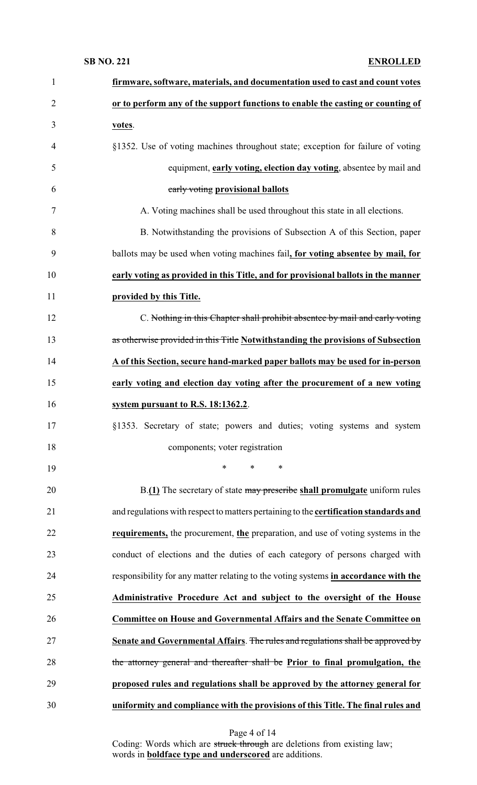| $\mathbf{1}$   | firmware, software, materials, and documentation used to cast and count votes         |
|----------------|---------------------------------------------------------------------------------------|
| $\overline{2}$ | or to perform any of the support functions to enable the casting or counting of       |
| 3              | votes.                                                                                |
| $\overline{4}$ | §1352. Use of voting machines throughout state; exception for failure of voting       |
| 5              | equipment, early voting, election day voting, absentee by mail and                    |
| 6              | early voting provisional ballots                                                      |
| 7              | A. Voting machines shall be used throughout this state in all elections.              |
| 8              | B. Notwithstanding the provisions of Subsection A of this Section, paper              |
| 9              | ballots may be used when voting machines fail, for voting absentee by mail, for       |
| 10             | early voting as provided in this Title, and for provisional ballots in the manner     |
| 11             | provided by this Title.                                                               |
| 12             | C. Nothing in this Chapter shall prohibit absentee by mail and early voting           |
| 13             | as otherwise provided in this Title Notwithstanding the provisions of Subsection      |
| 14             | A of this Section, secure hand-marked paper ballots may be used for in-person         |
| 15             | early voting and election day voting after the procurement of a new voting            |
| 16             | system pursuant to R.S. 18:1362.2.                                                    |
| 17             | §1353. Secretary of state; powers and duties; voting systems and system               |
| 18             | components; voter registration                                                        |
| 19             | $\ast$<br>$\ast$<br>$\ast$                                                            |
| 20             | B.(1) The secretary of state may prescribe shall promulgate uniform rules             |
| 21             | and regulations with respect to matters pertaining to the certification standards and |
| 22             | requirements, the procurement, the preparation, and use of voting systems in the      |
| 23             | conduct of elections and the duties of each category of persons charged with          |
| 24             | responsibility for any matter relating to the voting systems in accordance with the   |
| 25             | Administrative Procedure Act and subject to the oversight of the House                |
| 26             | <b>Committee on House and Governmental Affairs and the Senate Committee on</b>        |
| 27             | Senate and Governmental Affairs. The rules and regulations shall be approved by       |
| 28             | the attorney general and thereafter shall be Prior to final promulgation, the         |
| 29             | proposed rules and regulations shall be approved by the attorney general for          |
| 30             | uniformity and compliance with the provisions of this Title. The final rules and      |

Page 4 of 14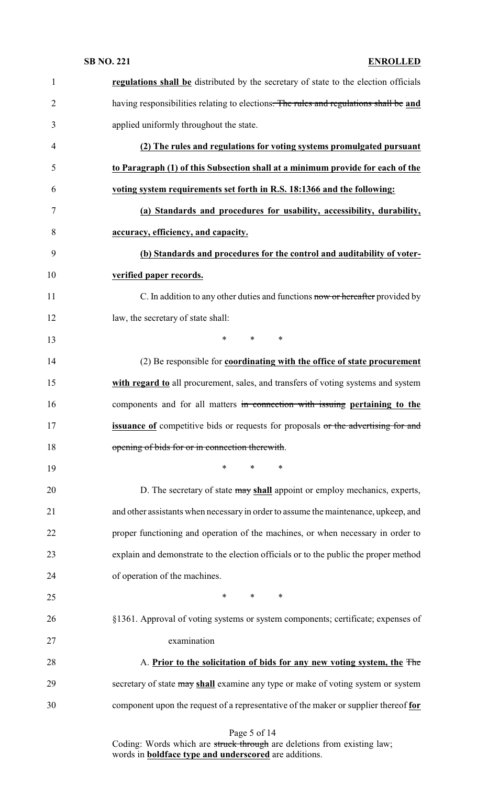| $\mathbf{1}$   | regulations shall be distributed by the secretary of state to the election officials     |
|----------------|------------------------------------------------------------------------------------------|
| $\overline{2}$ | having responsibilities relating to elections. The rules and regulations shall be and    |
| 3              | applied uniformly throughout the state.                                                  |
| 4              | (2) The rules and regulations for voting systems promulgated pursuant                    |
| 5              | to Paragraph (1) of this Subsection shall at a minimum provide for each of the           |
| 6              | voting system requirements set forth in R.S. 18:1366 and the following:                  |
| 7              | (a) Standards and procedures for usability, accessibility, durability,                   |
| 8              | accuracy, efficiency, and capacity.                                                      |
| 9              | (b) Standards and procedures for the control and auditability of voter-                  |
| 10             | verified paper records.                                                                  |
| 11             | C. In addition to any other duties and functions now or hereafter provided by            |
| 12             | law, the secretary of state shall:                                                       |
| 13             | $\ast$<br>$\ast$<br>$\ast$                                                               |
| 14             | (2) Be responsible for coordinating with the office of state procurement                 |
| 15             | with regard to all procurement, sales, and transfers of voting systems and system        |
| 16             | components and for all matters in connection with issuing pertaining to the              |
| 17             | <b>issuance of</b> competitive bids or requests for proposals or the advertising for and |
| 18             | opening of bids for or in connection therewith.                                          |
| 19             | *<br>∗<br>∗                                                                              |
| 20             | D. The secretary of state may shall appoint or employ mechanics, experts,                |
| 21             | and other assistants when necessary in order to assume the maintenance, upkeep, and      |
| 22             | proper functioning and operation of the machines, or when necessary in order to          |
| 23             | explain and demonstrate to the election officials or to the public the proper method     |
| 24             | of operation of the machines.                                                            |
| 25             | $\ast$<br>$\ast$<br>∗                                                                    |
| 26             | §1361. Approval of voting systems or system components; certificate; expenses of         |
| 27             | examination                                                                              |
| 28             | A. Prior to the solicitation of bids for any new voting system, the The                  |
| 29             | secretary of state may shall examine any type or make of voting system or system         |
| 30             | component upon the request of a representative of the maker or supplier thereof for      |
|                |                                                                                          |

### Page 5 of 14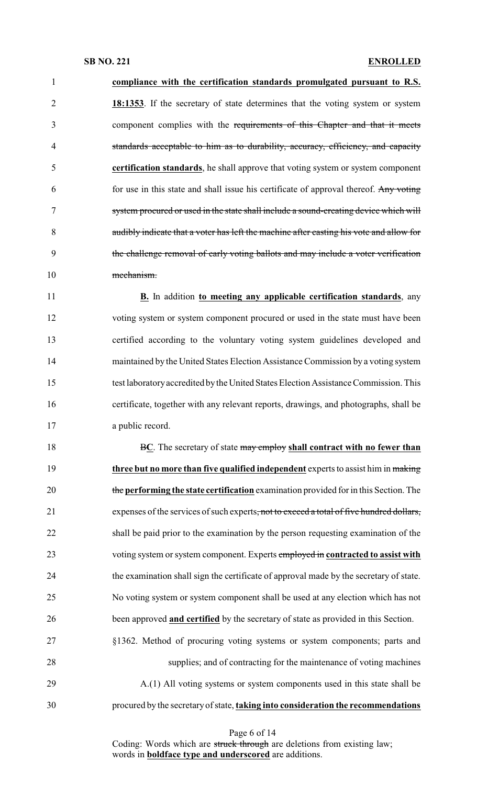**compliance with the certification standards promulgated pursuant to R.S. 18:1353**. If the secretary of state determines that the voting system or system component complies with the requirements of this Chapter and that it meets standards acceptable to him as to durability, accuracy, efficiency, and capacity **certification standards**, he shall approve that voting system or system component for use in this state and shall issue his certificate of approval thereof. Any voting system procured or used in the state shall include a sound-creating device which will audibly indicate that a voter has left the machine after casting his vote and allow for the challenge removal of early voting ballots and may include a voter verification mechanism. **B.** In addition **to meeting any applicable certification standards**, any voting system or system component procured or used in the state must have been certified according to the voluntary voting system guidelines developed and maintained by the United States Election Assistance Commission by a voting system test laboratoryaccredited bythe UnitedStates Election Assistance Commission. This certificate, together with any relevant reports, drawings, and photographs, shall be a public record. B**C**. The secretary of state may employ **shall contract with no fewer than three but no more than five qualified independent** experts to assist him in making the **performing the state certification** examination provided for in this Section. The 21 expenses of the services of such experts, not to exceed a total of five hundred dollars, shall be paid prior to the examination by the person requesting examination of the voting system or system component. Experts employed in **contracted to assist with** the examination shall sign the certificate of approval made by the secretary of state. No voting system or system component shall be used at any election which has not been approved **and certified** by the secretary of state as provided in this Section. §1362. Method of procuring voting systems or system components; parts and supplies; and of contracting for the maintenance of voting machines A.(1) All voting systems or system components used in this state shall be procured by the secretaryof state, **taking into consideration the recommendations**

Page 6 of 14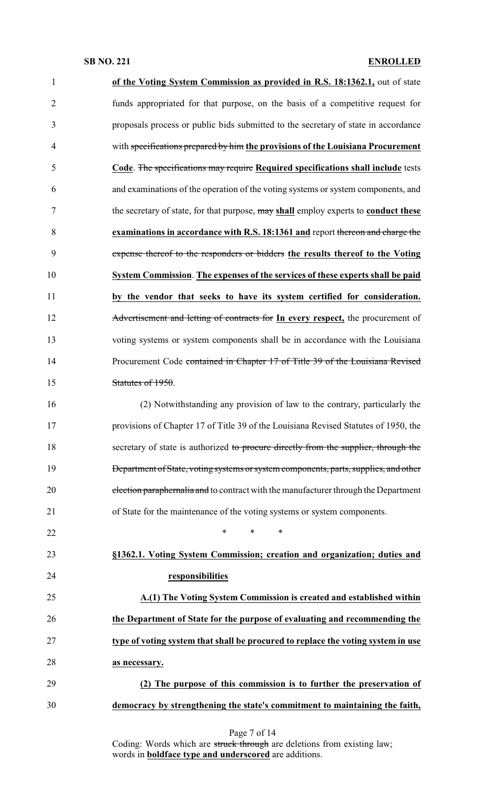| $\mathbf{1}$   | of the Voting System Commission as provided in R.S. 18:1362.1, out of state          |
|----------------|--------------------------------------------------------------------------------------|
| $\overline{2}$ | funds appropriated for that purpose, on the basis of a competitive request for       |
| 3              | proposals process or public bids submitted to the secretary of state in accordance   |
| $\overline{4}$ | with specifications prepared by him the provisions of the Louisiana Procurement      |
| 5              | Code. The specifications may require Required specifications shall include tests     |
| 6              | and examinations of the operation of the voting systems or system components, and    |
| 7              | the secretary of state, for that purpose, may shall employ experts to conduct these  |
| 8              | examinations in accordance with R.S. 18:1361 and report thereon and charge the       |
| 9              | expense thereof to the responders or bidders the results thereof to the Voting       |
| 10             | System Commission. The expenses of the services of these experts shall be paid       |
| 11             | by the vendor that seeks to have its system certified for consideration.             |
| 12             | Advertisement and letting of contracts for In every respect, the procurement of      |
| 13             | voting systems or system components shall be in accordance with the Louisiana        |
| 14             | Procurement Code contained in Chapter 17 of Title 39 of the Louisiana Revised        |
| 15             | Statutes of 1950.                                                                    |
| 16             | (2) Notwithstanding any provision of law to the contrary, particularly the           |
| 17             | provisions of Chapter 17 of Title 39 of the Louisiana Revised Statutes of 1950, the  |
| 18             | secretary of state is authorized to procure directly from the supplier, through the  |
| 19             | Department of State, voting systems or system components, parts, supplies, and other |
| 20             | election paraphernalia and to contract with the manufacturer through the Department  |
| 21             | of State for the maintenance of the voting systems or system components.             |
| 22             | *<br>*<br>∗                                                                          |
| 23             | §1362.1. Voting System Commission; creation and organization; duties and             |
| 24             | responsibilities                                                                     |
| 25             | A.(1) The Voting System Commission is created and established within                 |
| 26             | the Department of State for the purpose of evaluating and recommending the           |
| 27             | type of voting system that shall be procured to replace the voting system in use     |
| 28             | as necessary.                                                                        |
| 29             | (2) The purpose of this commission is to further the preservation of                 |
| 30             | democracy by strengthening the state's commitment to maintaining the faith,          |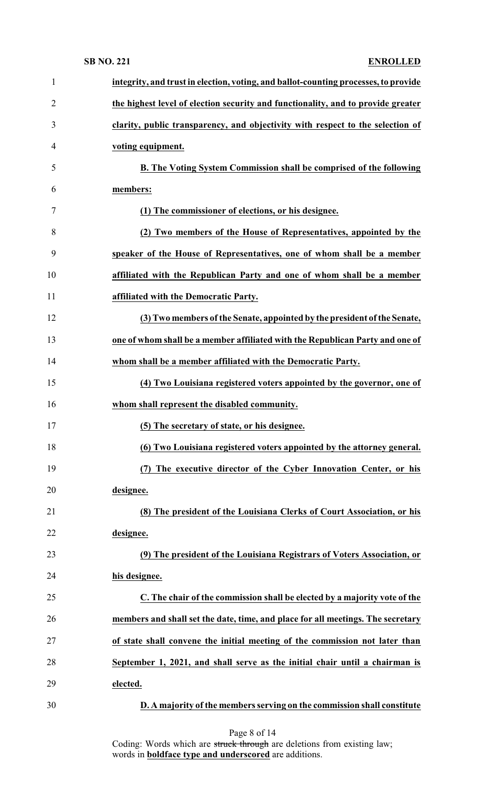| $\mathbf{1}$   | integrity, and trust in election, voting, and ballot-counting processes, to provide |
|----------------|-------------------------------------------------------------------------------------|
| $\overline{2}$ | the highest level of election security and functionality, and to provide greater    |
| 3              | clarity, public transparency, and objectivity with respect to the selection of      |
| 4              | voting equipment.                                                                   |
| 5              | <b>B.</b> The Voting System Commission shall be comprised of the following          |
| 6              | members:                                                                            |
| 7              | (1) The commissioner of elections, or his designee.                                 |
| 8              | (2) Two members of the House of Representatives, appointed by the                   |
| 9              | speaker of the House of Representatives, one of whom shall be a member              |
| 10             | affiliated with the Republican Party and one of whom shall be a member              |
| 11             | affiliated with the Democratic Party.                                               |
| 12             | (3) Two members of the Senate, appointed by the president of the Senate,            |
| 13             | one of whom shall be a member affiliated with the Republican Party and one of       |
| 14             | whom shall be a member affiliated with the Democratic Party.                        |
| 15             | (4) Two Louisiana registered voters appointed by the governor, one of               |
| 16             | whom shall represent the disabled community.                                        |
| 17             | (5) The secretary of state, or his designee.                                        |
| 18             | (6) Two Louisiana registered voters appointed by the attorney general.              |
| 19             | (7) The executive director of the Cyber Innovation Center, or his                   |
| 20             | designee.                                                                           |
| 21             | (8) The president of the Louisiana Clerks of Court Association, or his              |
| 22             | designee.                                                                           |
| 23             | (9) The president of the Louisiana Registrars of Voters Association, or             |
| 24             | his designee.                                                                       |
| 25             | C. The chair of the commission shall be elected by a majority vote of the           |
| 26             | members and shall set the date, time, and place for all meetings. The secretary     |
| 27             | of state shall convene the initial meeting of the commission not later than         |
| 28             | September 1, 2021, and shall serve as the initial chair until a chairman is         |
| 29             | elected.                                                                            |
| 30             | D. A majority of the members serving on the commission shall constitute             |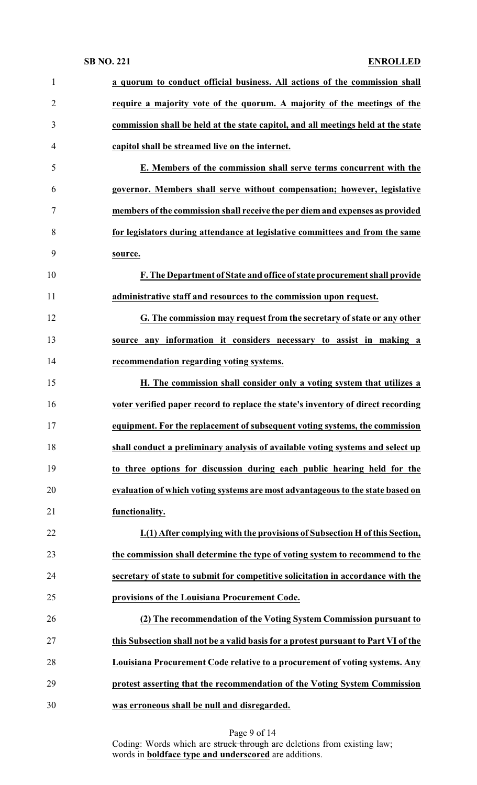| $\mathbf{1}$   | a quorum to conduct official business. All actions of the commission shall          |
|----------------|-------------------------------------------------------------------------------------|
| $\overline{2}$ | require a majority vote of the quorum. A majority of the meetings of the            |
| 3              | commission shall be held at the state capitol, and all meetings held at the state   |
| $\overline{4}$ | capitol shall be streamed live on the internet.                                     |
| 5              | E. Members of the commission shall serve terms concurrent with the                  |
| 6              | governor. Members shall serve without compensation; however, legislative            |
| $\tau$         | members of the commission shall receive the per diem and expenses as provided       |
| 8              | for legislators during attendance at legislative committees and from the same       |
| 9              | source.                                                                             |
| 10             | F. The Department of State and office of state procurement shall provide            |
| 11             | administrative staff and resources to the commission upon request.                  |
| 12             | G. The commission may request from the secretary of state or any other              |
| 13             | source any information it considers necessary to assist in making a                 |
| 14             | recommendation regarding voting systems.                                            |
| 15             | H. The commission shall consider only a voting system that utilizes a               |
| 16             | voter verified paper record to replace the state's inventory of direct recording    |
| 17             | equipment. For the replacement of subsequent voting systems, the commission         |
| 18             | shall conduct a preliminary analysis of available voting systems and select up      |
| 19             | to three options for discussion during each public hearing held for the             |
| 20             | evaluation of which voting systems are most advantageous to the state based on      |
| 21             | functionality.                                                                      |
| 22             | I.(1) After complying with the provisions of Subsection H of this Section,          |
| 23             | the commission shall determine the type of voting system to recommend to the        |
| 24             | secretary of state to submit for competitive solicitation in accordance with the    |
| 25             | provisions of the Louisiana Procurement Code.                                       |
| 26             | (2) The recommendation of the Voting System Commission pursuant to                  |
| 27             | this Subsection shall not be a valid basis for a protest pursuant to Part VI of the |
| 28             | Louisiana Procurement Code relative to a procurement of voting systems. Any         |
| 29             | protest asserting that the recommendation of the Voting System Commission           |
| 30             | was erroneous shall be null and disregarded.                                        |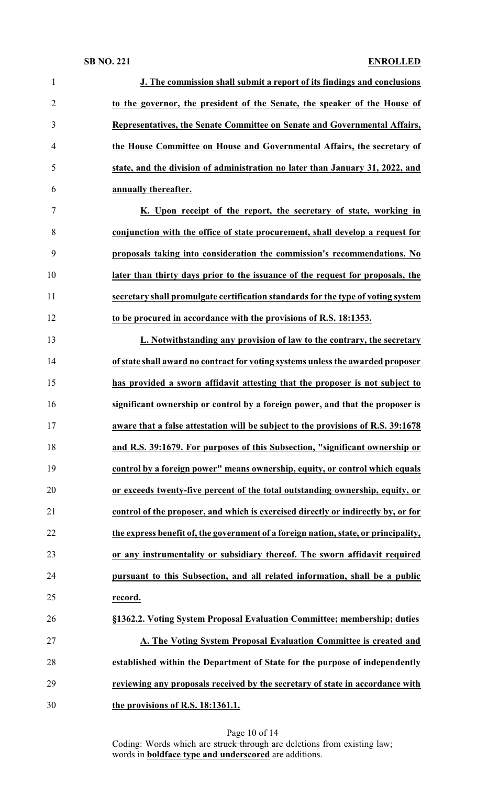| $\mathbf{1}$   | J. The commission shall submit a report of its findings and conclusions             |
|----------------|-------------------------------------------------------------------------------------|
| $\overline{2}$ | to the governor, the president of the Senate, the speaker of the House of           |
| 3              | Representatives, the Senate Committee on Senate and Governmental Affairs,           |
| $\overline{4}$ | the House Committee on House and Governmental Affairs, the secretary of             |
| 5              | state, and the division of administration no later than January 31, 2022, and       |
| 6              | annually thereafter.                                                                |
| 7              | K. Upon receipt of the report, the secretary of state, working in                   |
| 8              | conjunction with the office of state procurement, shall develop a request for       |
| 9              | proposals taking into consideration the commission's recommendations. No            |
| 10             | later than thirty days prior to the issuance of the request for proposals, the      |
| 11             | secretary shall promulgate certification standards for the type of voting system    |
| 12             | to be procured in accordance with the provisions of R.S. 18:1353.                   |
| 13             | L. Notwithstanding any provision of law to the contrary, the secretary              |
| 14             | of state shall award no contract for voting systems unless the awarded proposer     |
| 15             | has provided a sworn affidavit attesting that the proposer is not subject to        |
| 16             | significant ownership or control by a foreign power, and that the proposer is       |
| 17             | aware that a false attestation will be subject to the provisions of R.S. 39:1678    |
| 18             | and R.S. 39:1679. For purposes of this Subsection, "significant ownership or        |
| 19             | control by a foreign power" means ownership, equity, or control which equals        |
| 20             | or exceeds twenty-five percent of the total outstanding ownership, equity, or       |
| 21             | control of the proposer, and which is exercised directly or indirectly by, or for   |
| 22             | the express benefit of, the government of a foreign nation, state, or principality, |
| 23             | or any instrumentality or subsidiary thereof. The sworn affidavit required          |
| 24             | pursuant to this Subsection, and all related information, shall be a public         |
| 25             | record.                                                                             |
| 26             | §1362.2. Voting System Proposal Evaluation Committee; membership; duties            |
| 27             | A. The Voting System Proposal Evaluation Committee is created and                   |
| 28             | established within the Department of State for the purpose of independently         |
| 29             | reviewing any proposals received by the secretary of state in accordance with       |
| 30             | the provisions of R.S. 18:1361.1.                                                   |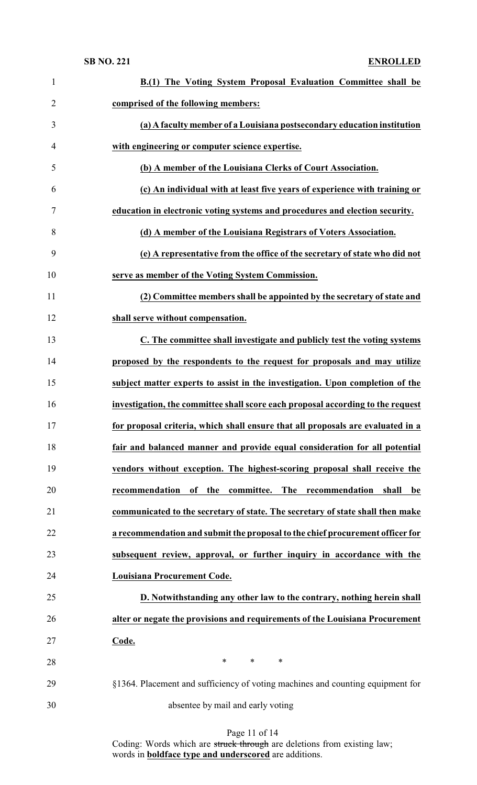| $\mathbf{1}$   | B.(1) The Voting System Proposal Evaluation Committee shall be                  |
|----------------|---------------------------------------------------------------------------------|
| $\overline{2}$ | comprised of the following members:                                             |
| 3              | (a) A faculty member of a Louisiana postsecondary education institution         |
| 4              | with engineering or computer science expertise.                                 |
| 5              | (b) A member of the Louisiana Clerks of Court Association.                      |
| 6              | (c) An individual with at least five years of experience with training or       |
| 7              | education in electronic voting systems and procedures and election security.    |
| 8              | (d) A member of the Louisiana Registrars of Voters Association.                 |
| 9              | (e) A representative from the office of the secretary of state who did not      |
| 10             | serve as member of the Voting System Commission.                                |
| 11             | (2) Committee members shall be appointed by the secretary of state and          |
| 12             | shall serve without compensation.                                               |
| 13             | C. The committee shall investigate and publicly test the voting systems         |
| 14             | proposed by the respondents to the request for proposals and may utilize        |
| 15             | subject matter experts to assist in the investigation. Upon completion of the   |
| 16             | investigation, the committee shall score each proposal according to the request |
| 17             | for proposal criteria, which shall ensure that all proposals are evaluated in a |
| 18             | fair and balanced manner and provide equal consideration for all potential      |
| 19             | vendors without exception. The highest-scoring proposal shall receive the       |
| 20             | recommendation of the committee. The recommendation<br>shall be                 |
| 21             | communicated to the secretary of state. The secretary of state shall then make  |
| 22             | a recommendation and submit the proposal to the chief procurement officer for   |
| 23             | subsequent review, approval, or further inquiry in accordance with the          |
| 24             | <b>Louisiana Procurement Code.</b>                                              |
| 25             | D. Notwithstanding any other law to the contrary, nothing herein shall          |
| 26             | alter or negate the provisions and requirements of the Louisiana Procurement    |
| 27             | Code.                                                                           |
| 28             | $\ast$<br>$\ast$<br>$\ast$                                                      |
| 29             | §1364. Placement and sufficiency of voting machines and counting equipment for  |
| 30             | absentee by mail and early voting                                               |

Page 11 of 14 Coding: Words which are struck through are deletions from existing law; words in **boldface type and underscored** are additions.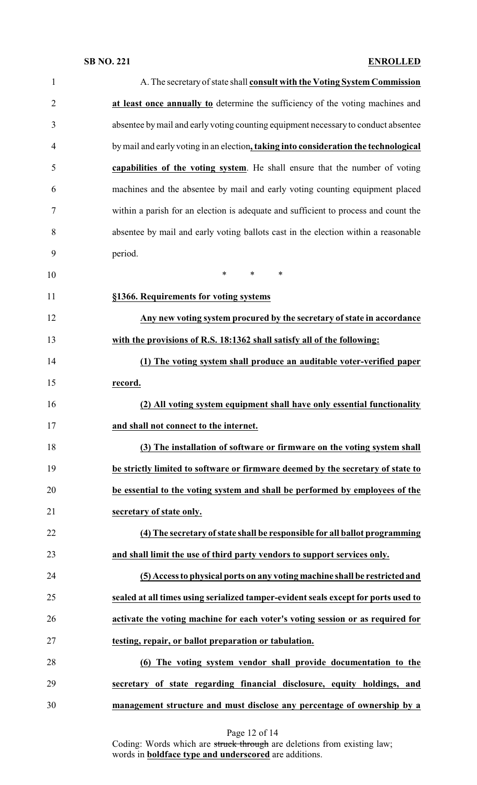| $\mathbf{1}$   | A. The secretary of state shall consult with the Voting System Commission            |
|----------------|--------------------------------------------------------------------------------------|
| $\overline{2}$ | at least once annually to determine the sufficiency of the voting machines and       |
| 3              | absentee by mail and early voting counting equipment necessary to conduct absentee   |
| $\overline{4}$ | by mail and early voting in an election, taking into consideration the technological |
| 5              | capabilities of the voting system. He shall ensure that the number of voting         |
| 6              | machines and the absentee by mail and early voting counting equipment placed         |
| 7              | within a parish for an election is adequate and sufficient to process and count the  |
| 8              | absentee by mail and early voting ballots cast in the election within a reasonable   |
| 9              | period.                                                                              |
| 10             | $\ast$<br>$\ast$<br>∗                                                                |
| 11             | §1366. Requirements for voting systems                                               |
| 12             | Any new voting system procured by the secretary of state in accordance               |
| 13             | with the provisions of R.S. 18:1362 shall satisfy all of the following:              |
| 14             | (1) The voting system shall produce an auditable voter-verified paper                |
| 15             | record.                                                                              |
| 16             | (2) All voting system equipment shall have only essential functionality              |
| 17             | and shall not connect to the internet.                                               |
| 18             | (3) The installation of software or firmware on the voting system shall              |
| 19             | be strictly limited to software or firmware deemed by the secretary of state to      |
| 20             | be essential to the voting system and shall be performed by employees of the         |
| 21             | secretary of state only.                                                             |
| 22             | (4) The secretary of state shall be responsible for all ballot programming           |
| 23             | and shall limit the use of third party vendors to support services only.             |
| 24             | (5) Access to physical ports on any voting machine shall be restricted and           |
| 25             | sealed at all times using serialized tamper-evident seals except for ports used to   |
| 26             | activate the voting machine for each voter's voting session or as required for       |
| 27             | testing, repair, or ballot preparation or tabulation.                                |
| 28             | (6) The voting system vendor shall provide documentation to the                      |
| 29             | secretary of state regarding financial disclosure, equity holdings, and              |
| 30             | management structure and must disclose any percentage of ownership by a              |

Page 12 of 14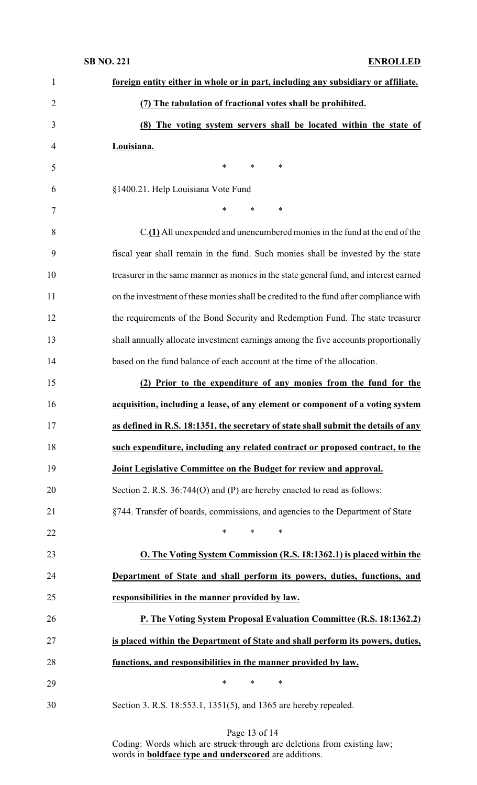| $\mathbf{1}$   | foreign entity either in whole or in part, including any subsidiary or affiliate.     |
|----------------|---------------------------------------------------------------------------------------|
| $\overline{2}$ | (7) The tabulation of fractional votes shall be prohibited.                           |
| 3              | (8) The voting system servers shall be located within the state of                    |
| $\overline{4}$ | Louisiana.                                                                            |
| 5              | $\ast$<br>*<br>*                                                                      |
| 6              | §1400.21. Help Louisiana Vote Fund                                                    |
| 7              | *<br>*<br>$\ast$                                                                      |
| 8              | C.(1) All unexpended and unencumbered monies in the fund at the end of the            |
| 9              | fiscal year shall remain in the fund. Such monies shall be invested by the state      |
| 10             | treasurer in the same manner as monies in the state general fund, and interest earned |
| 11             | on the investment of these monies shall be credited to the fund after compliance with |
| 12             | the requirements of the Bond Security and Redemption Fund. The state treasurer        |
| 13             | shall annually allocate investment earnings among the five accounts proportionally    |
| 14             | based on the fund balance of each account at the time of the allocation.              |
| 15             | (2) Prior to the expenditure of any monies from the fund for the                      |
| 16             | acquisition, including a lease, of any element or component of a voting system        |
|                |                                                                                       |
| 17             | as defined in R.S. 18:1351, the secretary of state shall submit the details of any    |
| 18             | such expenditure, including any related contract or proposed contract, to the         |
| 19             | Joint Legislative Committee on the Budget for review and approval.                    |
| 20             | Section 2. R.S. 36:744(O) and (P) are hereby enacted to read as follows:              |
| 21             | §744. Transfer of boards, commissions, and agencies to the Department of State        |
| 22             | $\ast$<br>*<br>$\ast$                                                                 |
| 23             | O. The Voting System Commission (R.S. 18:1362.1) is placed within the                 |
| 24             | Department of State and shall perform its powers, duties, functions, and              |
| 25             | responsibilities in the manner provided by law.                                       |
| 26             | P. The Voting System Proposal Evaluation Committee (R.S. 18:1362.2)                   |
| 27             | is placed within the Department of State and shall perform its powers, duties,        |
| 28             | functions, and responsibilities in the manner provided by law.                        |
| 29             | $\ast$<br>∗<br>$\ast$                                                                 |

Page 13 of 14